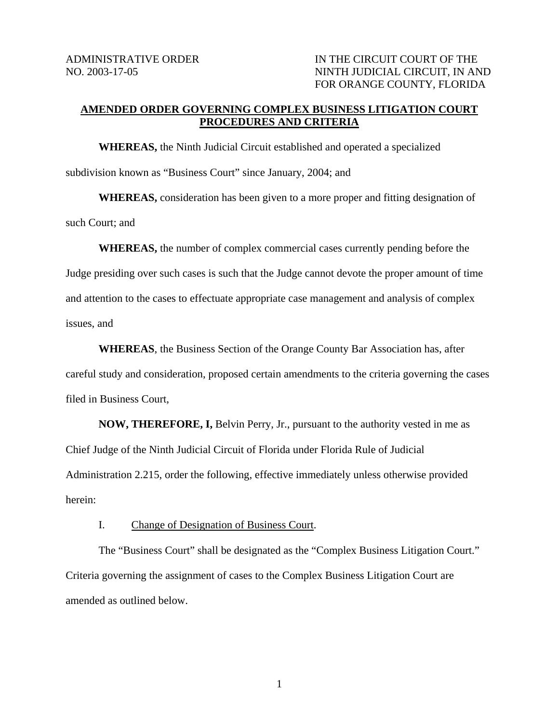## **AMENDED ORDER GOVERNING COMPLEX BUSINESS LITIGATION COURT PROCEDURES AND CRITERIA**

 **WHEREAS,** the Ninth Judicial Circuit established and operated a specialized subdivision known as "Business Court" since January, 2004; and

**WHEREAS,** consideration has been given to a more proper and fitting designation of such Court; and

**WHEREAS,** the number of complex commercial cases currently pending before the Judge presiding over such cases is such that the Judge cannot devote the proper amount of time and attention to the cases to effectuate appropriate case management and analysis of complex issues, and

**WHEREAS**, the Business Section of the Orange County Bar Association has, after careful study and consideration, proposed certain amendments to the criteria governing the cases filed in Business Court,

 **NOW, THEREFORE, I,** Belvin Perry, Jr., pursuant to the authority vested in me as Chief Judge of the Ninth Judicial Circuit of Florida under Florida Rule of Judicial Administration 2.215, order the following, effective immediately unless otherwise provided herein:

I. Change of Designation of Business Court.

The "Business Court" shall be designated as the "Complex Business Litigation Court." Criteria governing the assignment of cases to the Complex Business Litigation Court are amended as outlined below.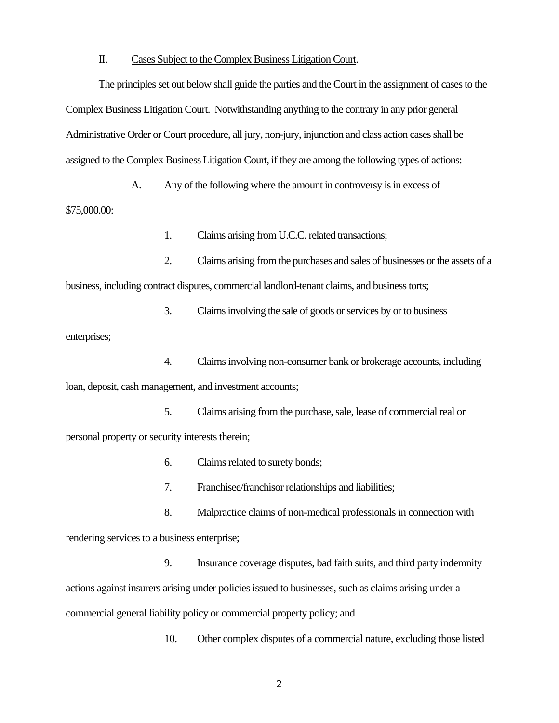#### II. Cases Subject to the Complex Business Litigation Court.

The principles set out below shall guide the parties and the Court in the assignment of cases to the Complex Business Litigation Court. Notwithstanding anything to the contrary in any prior general Administrative Order or Court procedure, all jury, non-jury, injunction and class action cases shall be assigned to the Complex Business Litigation Court, if they are among the following types of actions:

A. Any of the following where the amount in controversy is in excess of \$75,000.00:

1. Claims arising from U.C.C. related transactions;

2. Claims arising from the purchases and sales of businesses or the assets of a business, including contract disputes, commercial landlord-tenant claims, and business torts;

3. Claims involving the sale of goods or services by or to business enterprises;

4. Claims involving non-consumer bank or brokerage accounts, including loan, deposit, cash management, and investment accounts;

5. Claims arising from the purchase, sale, lease of commercial real or personal property or security interests therein;

6. Claims related to surety bonds;

7. Franchisee/franchisor relationships and liabilities;

8. Malpractice claims of non-medical professionals in connection with rendering services to a business enterprise;

9. Insurance coverage disputes, bad faith suits, and third party indemnity actions against insurers arising under policies issued to businesses, such as claims arising under a commercial general liability policy or commercial property policy; and

10. Other complex disputes of a commercial nature, excluding those listed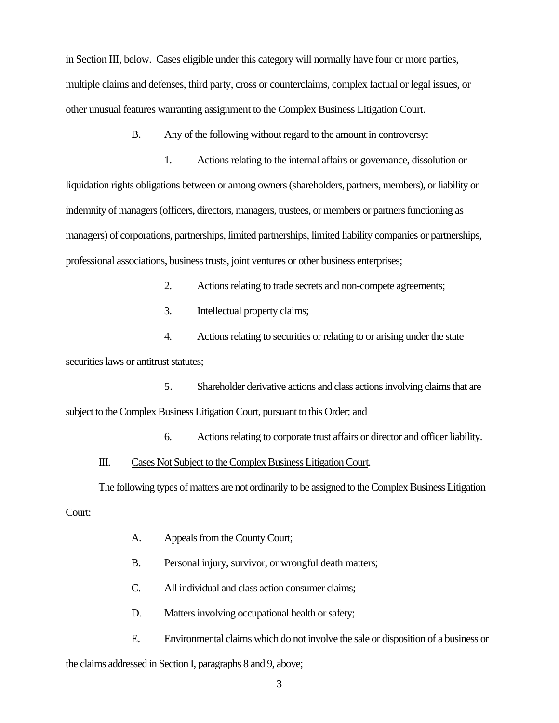in Section III, below. Cases eligible under this category will normally have four or more parties, multiple claims and defenses, third party, cross or counterclaims, complex factual or legal issues, or other unusual features warranting assignment to the Complex Business Litigation Court.

B. Any of the following without regard to the amount in controversy:

1. Actions relating to the internal affairs or governance, dissolution or liquidation rights obligations between or among owners (shareholders, partners, members), or liability or indemnity of managers (officers, directors, managers, trustees, or members or partners functioning as managers) of corporations, partnerships, limited partnerships, limited liability companies or partnerships, professional associations, business trusts, joint ventures or other business enterprises;

2. Actions relating to trade secrets and non-compete agreements;

3. Intellectual property claims;

4. Actions relating to securities or relating to or arising under the state securities laws or antitrust statutes;

5. Shareholder derivative actions and class actions involving claims that are subject to the Complex Business Litigation Court, pursuant to this Order; and

6. Actions relating to corporate trust affairs or director and officer liability.

### III. Cases Not Subject to the Complex Business Litigation Court.

The following types of matters are not ordinarily to be assigned to the Complex Business Litigation Court:

- A. Appeals from the County Court;
- B. Personal injury, survivor, or wrongful death matters;
- C. All individual and class action consumer claims;
- D. Matters involving occupational health or safety;
- E. Environmental claims which do not involve the sale or disposition of a business or

the claims addressed in Section I, paragraphs 8 and 9, above;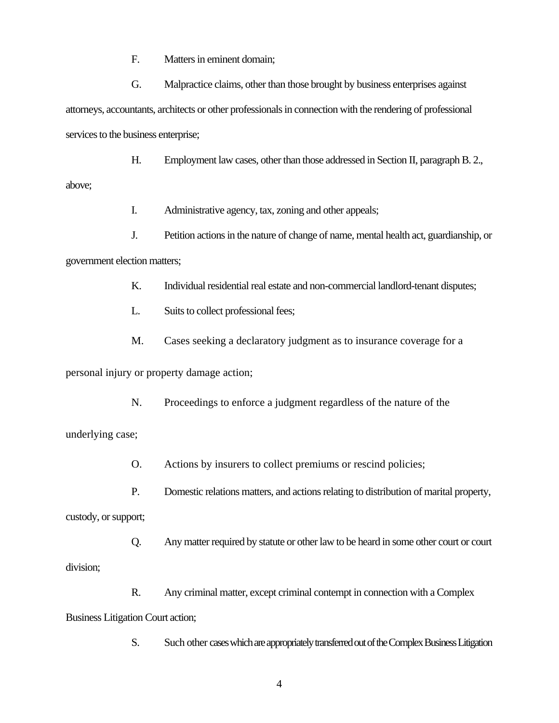F. Matters in eminent domain;

G. Malpractice claims, other than those brought by business enterprises against attorneys, accountants, architects or other professionals in connection with the rendering of professional services to the business enterprise;

H. Employment law cases, other than those addressed in Section II, paragraph B. 2.,

above;

I. Administrative agency, tax, zoning and other appeals;

J. Petition actions in the nature of change of name, mental health act, guardianship, or government election matters;

K. Individual residential real estate and non-commercial landlord-tenant disputes;

L. Suits to collect professional fees;

M. Cases seeking a declaratory judgment as to insurance coverage for a

personal injury or property damage action;

N. Proceedings to enforce a judgment regardless of the nature of the

underlying case;

O. Actions by insurers to collect premiums or rescind policies;

P. Domestic relations matters, and actions relating to distribution of marital property,

custody, or support;

Q. Any matter required by statute or other law to be heard in some other court or court division;

R. Any criminal matter, except criminal contempt in connection with a Complex Business Litigation Court action;

S. Such other cases which are appropriately transferred out of the Complex Business Litigation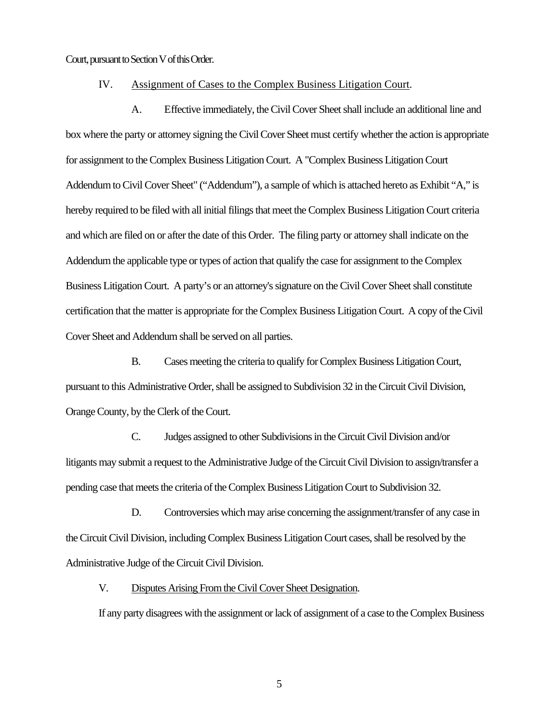Court, pursuant to Section V of this Order.

#### IV. Assignment of Cases to the Complex Business Litigation Court.

 A. Effective immediately, the Civil Cover Sheet shall include an additional line and box where the party or attorney signing the Civil Cover Sheet must certify whether the action is appropriate for assignment to the Complex Business Litigation Court. A "Complex Business Litigation Court Addendum to Civil Cover Sheet" ("Addendum"), a sample of which is attached hereto as Exhibit "A," is hereby required to be filed with all initial filings that meet the Complex Business Litigation Court criteria and which are filed on or after the date of this Order. The filing party or attorney shall indicate on the Addendum the applicable type or types of action that qualify the case for assignment to the Complex Business Litigation Court. A party's or an attorney's signature on the Civil Cover Sheet shall constitute certification that the matter is appropriate for the Complex Business Litigation Court. A copy of the Civil Cover Sheet and Addendum shall be served on all parties.

B. Cases meeting the criteria to qualify for Complex Business Litigation Court, pursuant to this Administrative Order, shall be assigned to Subdivision 32 in the Circuit Civil Division, Orange County, by the Clerk of the Court.

C. Judges assigned to other Subdivisions in the Circuit Civil Division and/or litigants may submit a request to the Administrative Judge of the Circuit Civil Division to assign/transfer a pending case that meets the criteria of the Complex Business Litigation Court to Subdivision 32.

D. Controversies which may arise concerning the assignment/transfer of any case in the Circuit Civil Division, including Complex Business Litigation Court cases, shall be resolved by the Administrative Judge of the Circuit Civil Division.

V. Disputes Arising From the Civil Cover Sheet Designation.

If any party disagrees with the assignment or lack of assignment of a case to the Complex Business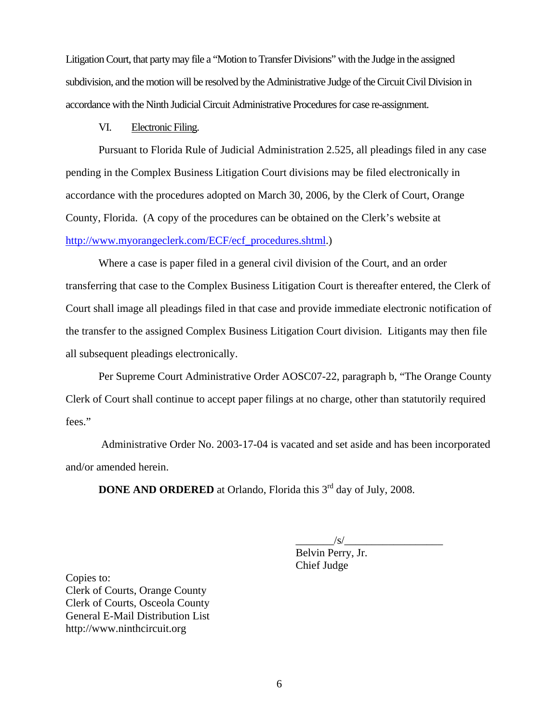Litigation Court, that party may file a "Motion to Transfer Divisions" with the Judge in the assigned subdivision, and the motion will be resolved by the Administrative Judge of the Circuit Civil Division in accordance with the Ninth Judicial Circuit Administrative Procedures for case re-assignment.

## VI. Electronic Filing.

 Pursuant to Florida Rule of Judicial Administration 2.525, all pleadings filed in any case pending in the Complex Business Litigation Court divisions may be filed electronically in accordance with the procedures adopted on March 30, 2006, by the Clerk of Court, Orange County, Florida. (A copy of the procedures can be obtained on the Clerk's website at [http://www.myorangeclerk.com/ECF/ecf\\_procedures.shtml.](http://www.myorangeclerk.com/ECF/ecf_procedures.shtml))

 Where a case is paper filed in a general civil division of the Court, and an order transferring that case to the Complex Business Litigation Court is thereafter entered, the Clerk of Court shall image all pleadings filed in that case and provide immediate electronic notification of the transfer to the assigned Complex Business Litigation Court division. Litigants may then file all subsequent pleadings electronically.

 Per Supreme Court Administrative Order AOSC07-22, paragraph b, "The Orange County Clerk of Court shall continue to accept paper filings at no charge, other than statutorily required fees."

 Administrative Order No. 2003-17-04 is vacated and set aside and has been incorporated and/or amended herein.

**DONE AND ORDERED** at Orlando, Florida this 3<sup>rd</sup> day of July, 2008.

 $\frac{1}{\sqrt{S}}$ 

Belvin Perry, Jr. Chief Judge

Copies to: Clerk of Courts, Orange County Clerk of Courts, Osceola County General E-Mail Distribution List http://www.ninthcircuit.org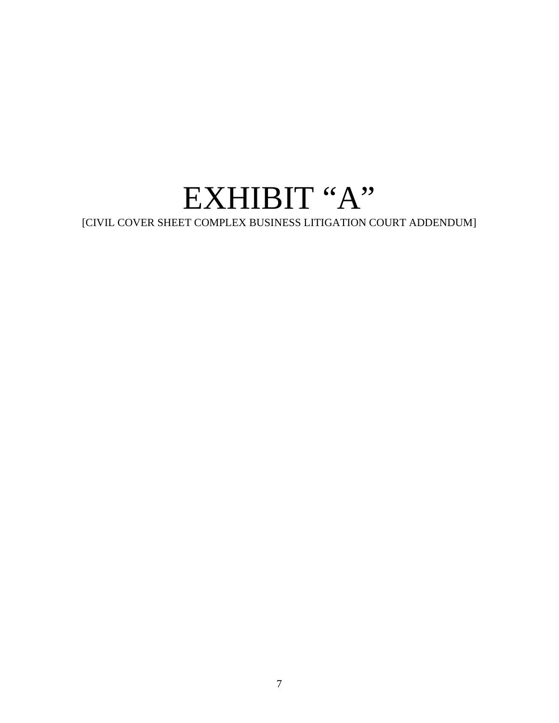# EXHIBIT "A"

[CIVIL COVER SHEET COMPLEX BUSINESS LITIGATION COURT ADDENDUM]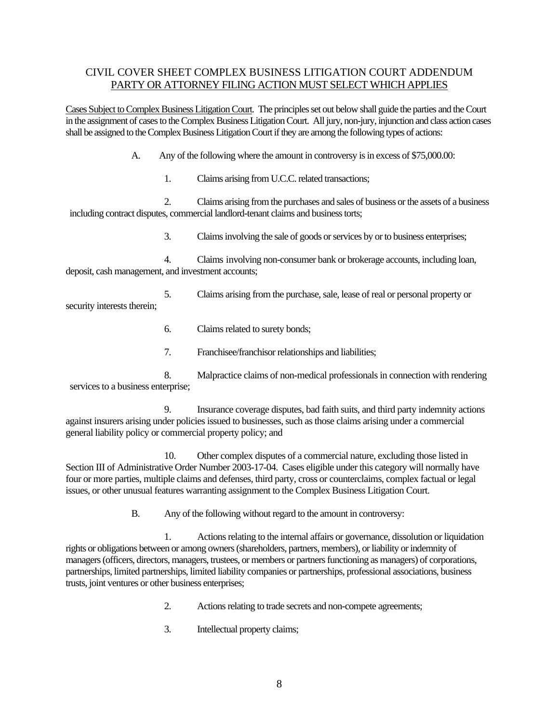## CIVIL COVER SHEET COMPLEX BUSINESS LITIGATION COURT ADDENDUM PARTY OR ATTORNEY FILING ACTION MUST SELECT WHICH APPLIES

Cases Subject to Complex Business Litigation Court. The principles set out below shall guide the parties and the Court in the assignment of cases to the Complex Business Litigation Court. All jury, non-jury, injunction and class action cases shall be assigned to the Complex Business Litigation Court if they are among the following types of actions:

A. Any of the following where the amount in controversy is in excess of \$75,000.00:

1. Claims arising from U.C.C. related transactions;

2. Claims arising from the purchases and sales of business or the assets of a business including contract disputes, commercial landlord-tenant claims and business torts;

3. Claims involving the sale of goods or services by or to business enterprises;

4. Claims involving non-consumer bank or brokerage accounts, including loan, deposit, cash management, and investment accounts;

5. Claims arising from the purchase, sale, lease of real or personal property or security interests therein;

- 6. Claims related to surety bonds;
- 7. Franchisee/franchisor relationships and liabilities;

 8. Malpractice claims of non-medical professionals in connection with rendering services to a business enterprise;

9. Insurance coverage disputes, bad faith suits, and third party indemnity actions against insurers arising under policies issued to businesses, such as those claims arising under a commercial general liability policy or commercial property policy; and

10. Other complex disputes of a commercial nature, excluding those listed in Section III of Administrative Order Number 2003-17-04. Cases eligible under this category will normally have four or more parties, multiple claims and defenses, third party, cross or counterclaims, complex factual or legal issues, or other unusual features warranting assignment to the Complex Business Litigation Court.

B. Any of the following without regard to the amount in controversy:

 1. Actions relating to the internal affairs or governance, dissolution or liquidation rights or obligations between or among owners (shareholders, partners, members), or liability or indemnity of managers (officers, directors, managers, trustees, or members or partners functioning as managers) of corporations, partnerships, limited partnerships, limited liability companies or partnerships, professional associations, business trusts, joint ventures or other business enterprises;

- 2. Actions relating to trade secrets and non-compete agreements;
- 3. Intellectual property claims;